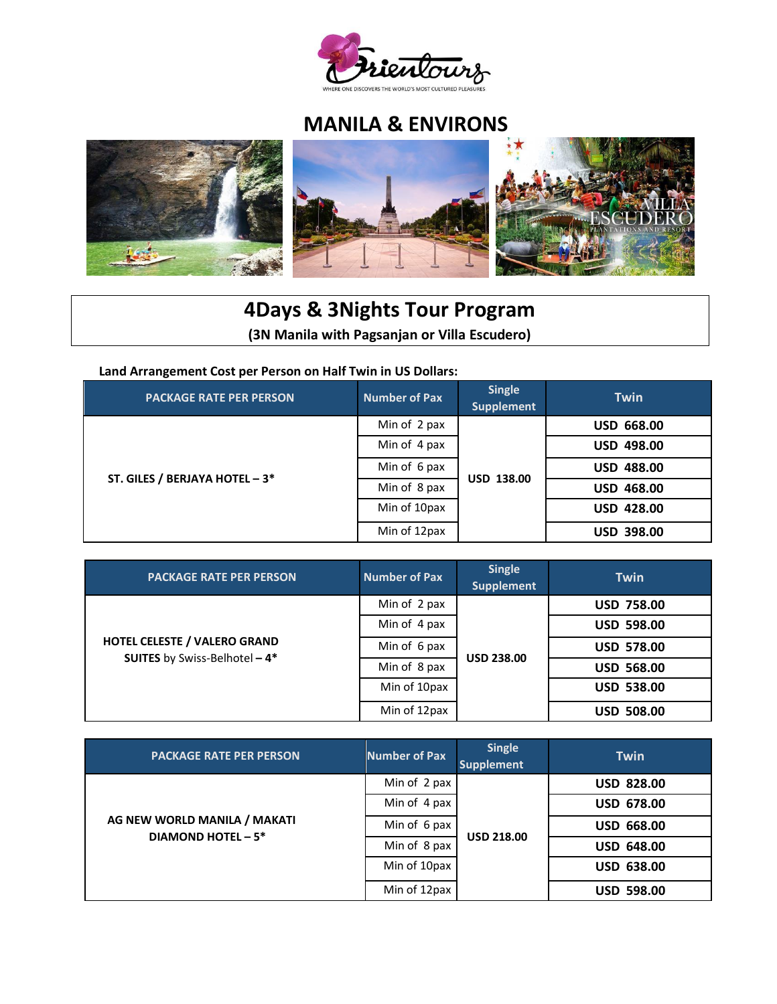

# **MANILA & ENVIRONS**



# **4Days & 3Nights Tour Program (3N Manila with Pagsanjan or Villa Escudero)**

**Land Arrangement Cost per Person on Half Twin in US Dollars:** 

| <b>PACKAGE RATE PER PERSON</b> | <b>Number of Pax</b> | <b>Single</b><br><b>Supplement</b> | <b>Twin</b>       |
|--------------------------------|----------------------|------------------------------------|-------------------|
| ST. GILES / BERJAYA HOTEL - 3* | Min of 2 pax         | <b>USD 138.00</b>                  | <b>USD 668.00</b> |
|                                | Min of 4 pax         |                                    | <b>USD 498.00</b> |
|                                | Min of 6 pax         |                                    | <b>USD 488.00</b> |
|                                | Min of 8 pax         |                                    | <b>USD 468.00</b> |
|                                | Min of 10pax         |                                    | <b>USD 428.00</b> |
|                                | Min of 12pax         |                                    | <b>USD 398.00</b> |

| <b>PACKAGE RATE PER PERSON</b>                                              | <b>Number of Pax</b> | <b>Single</b><br><b>Supplement</b> | <b>Twin</b>       |
|-----------------------------------------------------------------------------|----------------------|------------------------------------|-------------------|
| <b>HOTEL CELESTE / VALERO GRAND</b><br><b>SUITES</b> by Swiss-Belhotel - 4* | Min of 2 pax         | <b>USD 238.00</b>                  | <b>USD 758.00</b> |
|                                                                             | Min of 4 pax         |                                    | <b>USD 598.00</b> |
|                                                                             | Min of 6 pax         |                                    | <b>USD 578.00</b> |
|                                                                             | Min of 8 pax         |                                    | <b>USD 568.00</b> |
|                                                                             | Min of 10pax         |                                    | <b>USD 538.00</b> |
|                                                                             | Min of 12pax         |                                    | <b>USD 508.00</b> |

| <b>PACKAGE RATE PER PERSON</b>                            | <b>Number of Pax</b> | <b>Single</b><br><b>Supplement</b> | <b>Twin</b>       |
|-----------------------------------------------------------|----------------------|------------------------------------|-------------------|
| AG NEW WORLD MANILA / MAKATI<br><b>DIAMOND HOTEL - 5*</b> | Min of 2 pax         | <b>USD 218.00</b>                  | <b>USD 828.00</b> |
|                                                           | Min of 4 pax         |                                    | <b>USD 678.00</b> |
|                                                           | Min of 6 pax         |                                    | <b>USD 668.00</b> |
|                                                           | Min of 8 pax         |                                    | <b>USD 648.00</b> |
|                                                           | Min of 10pax         |                                    | <b>USD 638.00</b> |
|                                                           | Min of 12pax         |                                    | <b>USD 598.00</b> |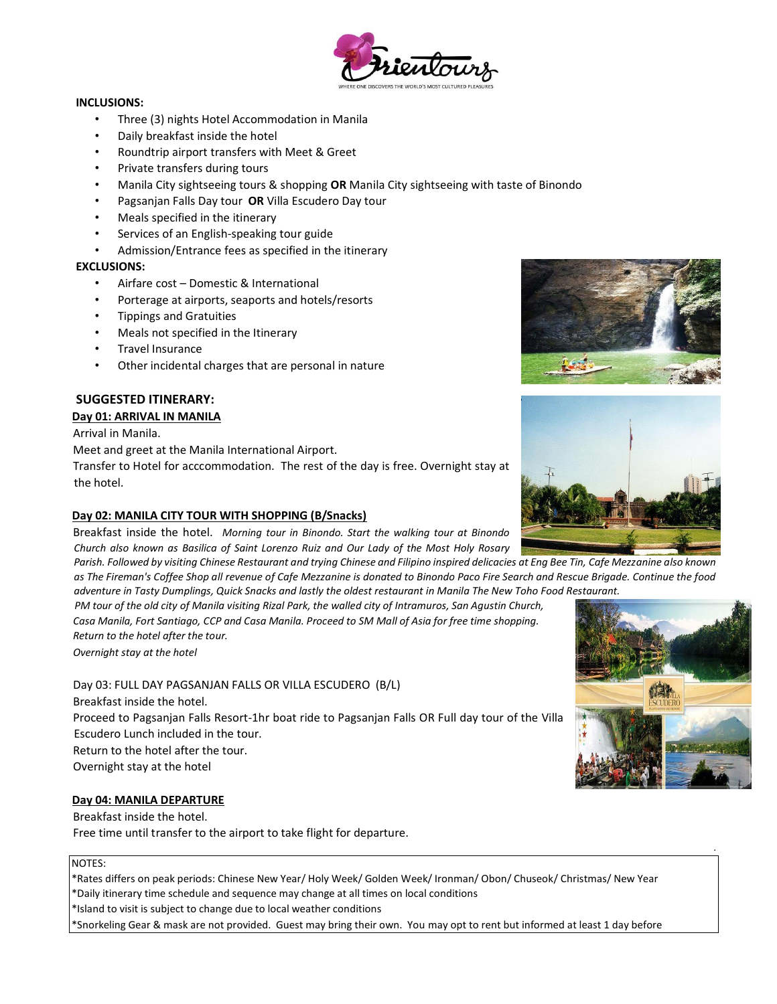

#### **INCLUSIONS:**

- Three (3) nights Hotel Accommodation in Manila
- Daily breakfast inside the hotel
- Roundtrip airport transfers with Meet & Greet
- Private transfers during tours
- Manila City sightseeing tours & shopping **OR** Manila City sightseeing with taste of Binondo
- Pagsanjan Falls Day tour **OR** Villa Escudero Day tour
- Meals specified in the itinerary
- Services of an English-speaking tour guide
- Admission/Entrance fees as specified in the itinerary

## **EXCLUSIONS:**

- Airfare cost Domestic & International
- Porterage at airports, seaports and hotels/resorts
- Tippings and Gratuities
- Meals not specified in the Itinerary
- Travel Insurance
- Other incidental charges that are personal in nature

# **SUGGESTED ITINERARY:**

# **Day 01: ARRIVAL IN MANILA**

Arrival in Manila.

Meet and greet at the Manila International Airport.

Transfer to Hotel for acccommodation. The rest of the day is free. Overnight stay at the hotel.

## **Day 02: MANILA CITY TOUR WITH SHOPPING (B/Snacks)**

Breakfast inside the hotel. *Morning tour in Binondo. Start the walking tour at Binondo Church also known as Basilica of Saint Lorenzo Ruiz and Our Lady of the Most Holy Rosary* 

*Parish. Followed by visiting Chinese Restaurant and trying Chinese and Filipino inspired delicacies at Eng Bee Tin, Cafe Mezzanine also known as The Fireman's Coffee Shop all revenue of Cafe Mezzanine is donated to Binondo Paco Fire Search and Rescue Brigade. Continue the food adventure in Tasty Dumplings, Quick Snacks and lastly the oldest restaurant in Manila The New Toho Food Restaurant.* 

*PM tour of the old city of Manila visiting Rizal Park, the walled city of Intramuros, San Agustin Church, Casa Manila, Fort Santiago, CCP and Casa Manila. Proceed to SM Mall of Asia for free time shopping. Return to the hotel after the tour.* 

*Overnight stay at the hotel* 

Day 03: FULL DAY PAGSANJAN FALLS OR VILLA ESCUDERO (B/L) Breakfast inside the hotel. Proceed to Pagsanjan Falls Resort-1hr boat ride to Pagsanjan Falls OR Full day tour of the Villa Escudero Lunch included in the tour. Return to the hotel after the tour. Overnight stay at the hotel

## **Day 04: MANILA DEPARTURE**

Breakfast inside the hotel. Free time until transfer to the airport to take flight for departure.

#### NOTES:

\*Rates differs on peak periods: Chinese New Year/ Holy Week/ Golden Week/ Ironman/ Obon/ Chuseok/ Christmas/ New Year \*Daily itinerary time schedule and sequence may change at all times on local conditions \*Island to visit is subject to change due to local weather conditions

\*Snorkeling Gear & mask are not provided. Guest may bring their own. You may opt to rent but informed at least 1 day before







.